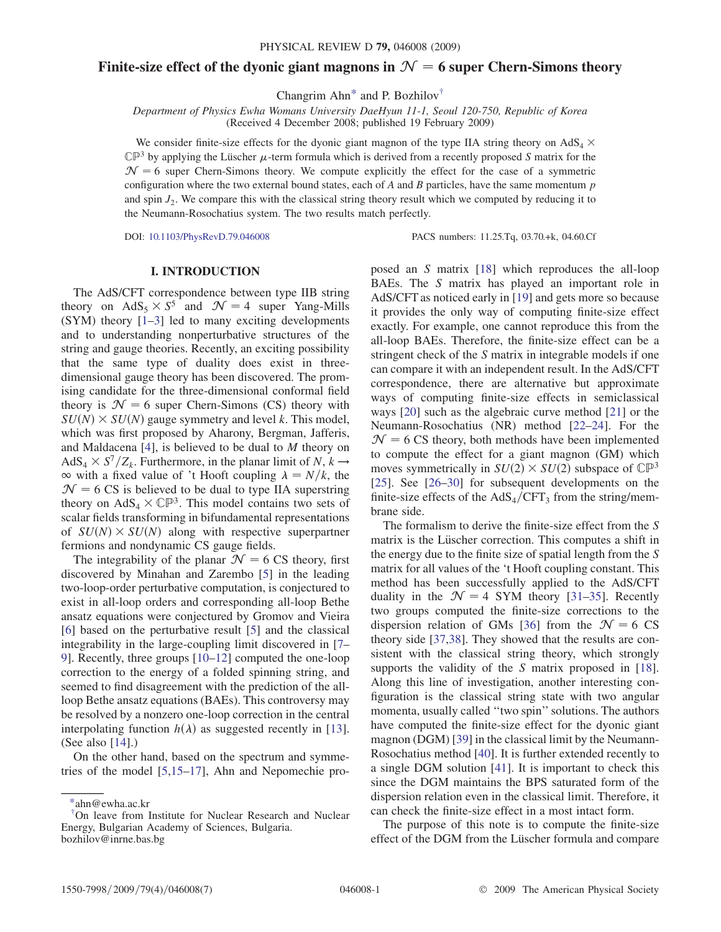# Finite-size effect of the dyonic giant magnons in  $\mathcal{N} = 6$  super Chern-Simons theory

Changrim Ahn<sup>\*</sup> and P. Bozhilov<sup>†</sup>

Received 4 December 2008; published 19 February 2009)

We consider finite-size effects for the dyonic giant magnon of the type IIA string theory on  $AdS_4 \times$  $\mathbb{CP}^3$  by applying the Lüscher  $\mu$ -term formula which is derived from a recently proposed S matrix for the  $\mathcal{N} = 6$  super Chern-Simons theory. We compute explicitly the effect for the case of a symmetric configuration where the two external bound states, each of  $A$  and  $B$  particles, have the same momentum  $p$ and spin  $J_2$ . We compare this with the classical string theory result which we computed by reducing it to the Neumann-Rosochatius system. The two results match perfectly.

DOI: [10.1103/PhysRevD.79.046008](http://dx.doi.org/10.1103/PhysRevD.79.046008) PACS numbers: 11.25.Tq, 03.70.+k, 04.60.Cf

# I. INTRODUCTION

The AdS/CFT correspondence between type IIB string theory on AdS<sub>5</sub>  $\times$  S<sup>5</sup> and  $\mathcal{N} = 4$  super Yang-Mills (SYM) theory [1–3] led to many exciting developments and to understanding nonperturbative structures of the string and gauge theories. Recently, an exciting possibility that the same type of duality does exist in threedimensional gauge theory has been discovered. The promising candidate for the three-dimensional conformal field theory is  $\mathcal{N} = 6$  super Chern-Simons (CS) theory with  $SU(N) \times SU(N)$  gauge symmetry and level k. This model, which was first proposed by Aharony, Bergman, Jafferis, and Maldacena [\[4](#page-6-0)], is believed to be dual to M theory on  $AdS_4 \times S^7/Z_k$ . Furthermore, in the planar limit of N,  $k \rightarrow$  $\infty$  with a fixed value of 't Hooft coupling  $\lambda = N/k$ , the  $\mathcal{N} = 6 \text{ CS}$  is believed to be dual to type IIA superstring theory on  $AdS_4 \times \mathbb{CP}^3$ . This model contains two sets of scalar fields transforming in bifundamental representations of  $SU(N) \times SU(N)$  along with respective superpartner fermions and nondynamic CS gauge fields.

The integrability of the planar  $\mathcal{N} = 6 \text{ CS}$  theory, first discovered by Minahan and Zarembo [\[5](#page-6-0)] in the leading two-loop-order perturbative computation, is conjectured to exist in all-loop orders and corresponding all-loop Bethe ansatz equations were conjectured by Gromov and Vieira [\[6\]](#page-6-0) based on the perturbative result [[5\]](#page-6-0) and the classical integrability in the large-coupling limit discovered in [[7–](#page-6-0) [9](#page-6-0)]. Recently, three groups [10–12] computed the one-loop correction to the energy of a folded spinning string, and seemed to find disagreement with the prediction of the allloop Bethe ansatz equations (BAEs). This controversy may be resolved by a nonzero one-loop correction in the central interpolating function  $h(\lambda)$  as suggested recently in [13]. (See also [14].)

On the other hand, based on the spectrum and symmetries of the model [\[5,](#page-6-0)15–17], Ahn and Nepomechie proposed an S matrix [18] which reproduces the all-loop BAEs. The S matrix has played an important role in AdS/CFT as noticed early in [19] and gets more so because it provides the only way of computing finite-size effect exactly. For example, one cannot reproduce this from the all-loop BAEs. Therefore, the finite-size effect can be a stringent check of the S matrix in integrable models if one can compare it with an independent result. In the AdS/CFT correspondence, there are alternative but approximate ways of computing finite-size effects in semiclassical ways [20] such as the algebraic curve method [21] or the Neumann-Rosochatius (NR) method [22–24]. For the  $\mathcal{N} = 6 \text{ CS}$  theory, both methods have been implemented to compute the effect for a giant magnon (GM) which moves symmetrically in  $SU(2) \times SU(2)$  subspace of  $\mathbb{CP}^3$ [25]. See [26–30] for subsequent developments on the finite-size effects of the  $AdS_4/CFT_3$  from the string/membrane side.

The formalism to derive the finite-size effect from the S matrix is the Lüscher correction. This computes a shift in the energy due to the finite size of spatial length from the S matrix for all values of the 't Hooft coupling constant. This method has been successfully applied to the AdS/CFT duality in the  $\mathcal{N} = 4$  SYM theory [[31](#page-6-0)–[35](#page-6-0)]. Recently two groups computed the finite-size corrections to the dispersion relation of GMs [[36](#page-6-0)] from the  $\mathcal{N} = 6 \text{ CS}$ theory side [\[37,38\]](#page-6-0). They showed that the results are consistent with the classical string theory, which strongly supports the validity of the S matrix proposed in [18]. Along this line of investigation, another interesting configuration is the classical string state with two angular momenta, usually called ''two spin'' solutions. The authors have computed the finite-size effect for the dyonic giant magnon (DGM) [[39](#page-6-0)] in the classical limit by the Neumann-Rosochatius method [\[40\]](#page-6-0). It is further extended recently to a single DGM solution [\[41\]](#page-6-0). It is important to check this since the DGM maintains the BPS saturated form of the dispersion relation even in the classical limit. Therefore, it can check the finite-size effect in a most intact form.

The purpose of this note is to compute the finite-size effect of the DGM from the Lüscher formula and compare

<sup>\*</sup>ahn@ewha.ac.kr

<sup>†</sup> On leave from Institute for Nuclear Research and Nuclear Energy, Bulgarian Academy of Sciences, Bulgaria. bozhilov@inrne.bas.bg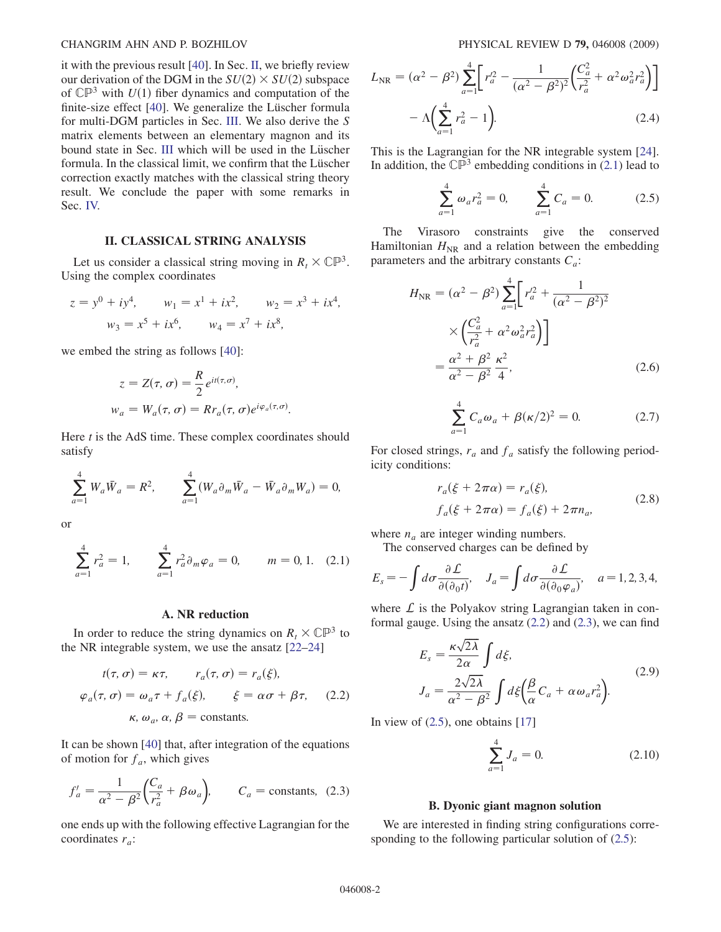<span id="page-1-1"></span>it with the previous result [\[40\]](#page-6-0). In Sec. II, we briefly review our derivation of the DGM in the  $SU(2) \times SU(2)$  subspace of  $\mathbb{CP}^3$  with  $U(1)$  fiber dynamics and computation of the finite-size effect [\[40\]](#page-6-0). We generalize the Lüscher formula for multi-DGM particles in Sec. III. We also derive the S matrix elements between an elementary magnon and its bound state in Sec. III which will be used in the Lüscher formula. In the classical limit, we confirm that the Lüscher correction exactly matches with the classical string theory result. We conclude the paper with some remarks in Sec. IV.

# II. CLASSICAL STRING ANALYSIS

Let us consider a classical string moving in  $R_t \times \mathbb{CP}^3$ . Using the complex coordinates

$$
z = y0 + iy4, \t w1 = x1 + ix2, \t w2 = x3 + ix4,\t w3 = x5 + ix6, \t w4 = x7 + ix8,
$$

we embed the string as follows [\[40\]](#page-6-0):

$$
z = Z(\tau, \sigma) = \frac{R}{2} e^{it(\tau, \sigma)},
$$
  
\n
$$
w_a = W_a(\tau, \sigma) = R r_a(\tau, \sigma) e^{i\varphi_a(\tau, \sigma)}.
$$

Here  $t$  is the AdS time. These complex coordinates should satisfy

$$
\sum_{a=1}^{4} W_a \bar{W}_a = R^2, \qquad \sum_{a=1}^{4} (W_a \partial_m \bar{W}_a - \bar{W}_a \partial_m W_a) = 0,
$$

<span id="page-1-0"></span>or

$$
\sum_{a=1}^{4} r_a^2 = 1, \qquad \sum_{a=1}^{4} r_a^2 \partial_m \varphi_a = 0, \qquad m = 0, 1. \quad (2.1)
$$

#### A. NR reduction

In order to reduce the string dynamics on  $R_t \times \mathbb{CP}^3$  to the NR integrable system, we use the ansatz [22–24]

$$
t(\tau, \sigma) = \kappa \tau, \qquad r_a(\tau, \sigma) = r_a(\xi),
$$
  
\n
$$
\varphi_a(\tau, \sigma) = \omega_a \tau + f_a(\xi), \qquad \xi = \alpha \sigma + \beta \tau, \qquad (2.2)
$$
  
\n
$$
\kappa, \omega_a, \alpha, \beta = \text{constants}.
$$

It can be shown [\[40\]](#page-6-0) that, after integration of the equations of motion for  $f_a$ , which gives

$$
f'_a = \frac{1}{\alpha^2 - \beta^2} \left( \frac{C_a}{r_a^2} + \beta \omega_a \right), \qquad C_a = \text{constants}, \tag{2.3}
$$

one ends up with the following effective Lagrangian for the coordinates  $r_a$ :

$$
L_{\rm NR} = (\alpha^2 - \beta^2) \sum_{a=1}^{4} \left[ r_a'^2 - \frac{1}{(\alpha^2 - \beta^2)^2} \left( \frac{C_a^2}{r_a^2} + \alpha^2 \omega_a^2 r_a^2 \right) \right] - \Lambda \left( \sum_{a=1}^{4} r_a^2 - 1 \right).
$$
 (2.4)

This is the Lagrangian for the NR integrable system [24]. In addition, the  $\mathbb{CP}^3$  embedding conditions in [\(2.1\)](#page-1-0) lead to

$$
\sum_{a=1}^{4} \omega_a r_a^2 = 0, \qquad \sum_{a=1}^{4} C_a = 0. \tag{2.5}
$$

The Virasoro constraints give the conserved Hamiltonian  $H_{\text{NR}}$  and a relation between the embedding parameters and the arbitrary constants  $C_a$ :

$$
H_{\text{NR}} = (\alpha^2 - \beta^2) \sum_{a=1}^4 \left[ r_a'^2 + \frac{1}{(\alpha^2 - \beta^2)^2} \times \left( \frac{C_a^2}{r_a^2} + \alpha^2 \omega_a^2 r_a^2 \right) \right]
$$
  
=  $\frac{\alpha^2 + \beta^2}{\alpha^2 - \beta^2} \frac{\kappa^2}{4}$ , (2.6)

$$
\sum_{a=1}^{4} C_a \omega_a + \beta(\kappa/2)^2 = 0.
$$
 (2.7)

For closed strings,  $r_a$  and  $f_a$  satisfy the following periodicity conditions:

$$
r_a(\xi + 2\pi\alpha) = r_a(\xi),
$$
  
\n
$$
f_a(\xi + 2\pi\alpha) = f_a(\xi) + 2\pi n_a,
$$
\n(2.8)

where  $n_a$  are integer winding numbers.

The conserved charges can be defined by

$$
E_s = -\int d\sigma \frac{\partial \mathcal{L}}{\partial(\partial_0 t)}, \quad J_a = \int d\sigma \frac{\partial \mathcal{L}}{\partial(\partial_0 \varphi_a)}, \quad a = 1, 2, 3, 4,
$$

where  $\mathcal L$  is the Polyakov string Lagrangian taken in conformal gauge. Using the ansatz  $(2.2)$  and  $(2.3)$ , we can find

$$
E_s = \frac{\kappa \sqrt{2\lambda}}{2\alpha} \int d\xi,
$$
  
\n
$$
J_a = \frac{2\sqrt{2\lambda}}{\alpha^2 - \beta^2} \int d\xi \left(\frac{\beta}{\alpha} C_a + \alpha \omega_a r_a^2\right).
$$
\n(2.9)

In view of  $(2.5)$ , one obtains [17]

$$
\sum_{a=1}^{4} J_a = 0. \tag{2.10}
$$

#### B. Dyonic giant magnon solution

We are interested in finding string configurations corresponding to the following particular solution of  $(2.5)$ :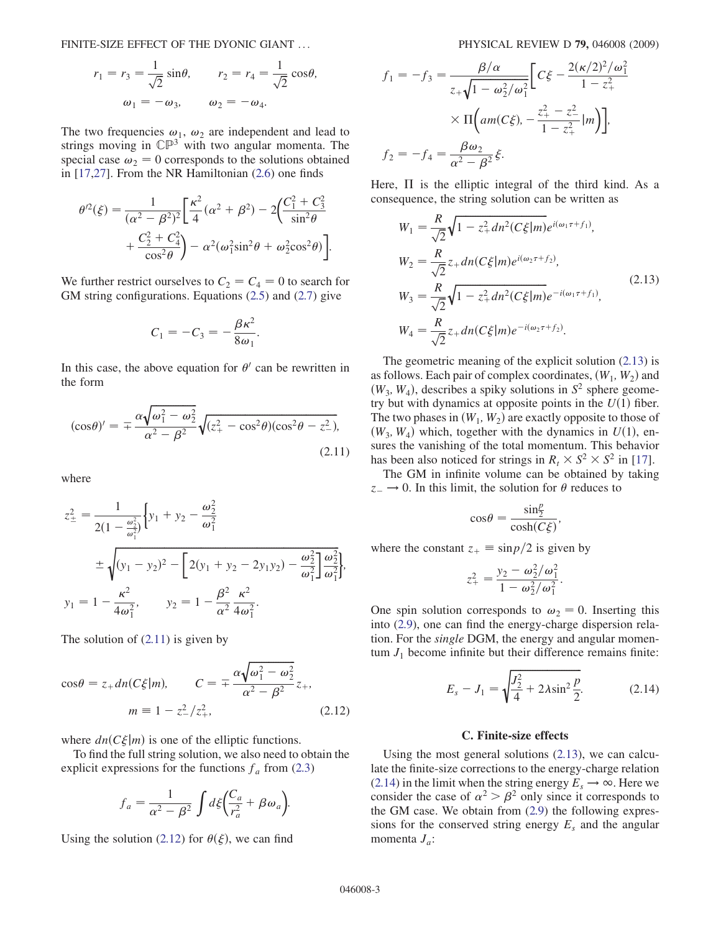FINITE-SIZE EFFECT OF THE DYONIC GIANT ... PHYSICAL REVIEW D 79, 046008 (2009)

$$
r_1 = r_3 = \frac{1}{\sqrt{2}} \sin \theta, \qquad r_2 = r_4 = \frac{1}{\sqrt{2}} \cos \theta,
$$
  

$$
\omega_1 = -\omega_3, \qquad \omega_2 = -\omega_4.
$$

The two frequencies  $\omega_1$ ,  $\omega_2$  are independent and lead to strings moving in  $\mathbb{CP}^3$  with two angular momenta. The special case  $\omega_2 = 0$  corresponds to the solutions obtained in [17,27]. From the NR Hamiltonian [\(2.6\)](#page-1-1) one finds

$$
\theta'^2(\xi) = \frac{1}{(\alpha^2 - \beta^2)^2} \left[ \frac{\kappa^2}{4} (\alpha^2 + \beta^2) - 2 \left( \frac{C_1^2 + C_3^2}{\sin^2 \theta} + \frac{C_2^2 + C_4^2}{\cos^2 \theta} \right) - \alpha^2 (\omega_1^2 \sin^2 \theta + \omega_2^2 \cos^2 \theta) \right].
$$

We further restrict ourselves to  $C_2 = C_4 = 0$  to search for GM string configurations. Equations ([2.5](#page-1-1)) and [\(2.7\)](#page-1-1) give

$$
C_1=-C_3=-\frac{\beta\kappa^2}{8\omega_1}.
$$

In this case, the above equation for  $\theta'$  can be rewritten in the form

$$
(\cos \theta)' = \pm \frac{\alpha \sqrt{\omega_1^2 - \omega_2^2}}{\alpha^2 - \beta^2} \sqrt{(z_+^2 - \cos^2 \theta)(\cos^2 \theta - z_-^2)},
$$
\n(2.11)

where

$$
z_{\pm}^{2} = \frac{1}{2(1 - \frac{\omega_{2}^{2}}{\omega_{1}^{2}})} \Big\{ y_{1} + y_{2} - \frac{\omega_{2}^{2}}{\omega_{1}^{2}} \n\pm \sqrt{(y_{1} - y_{2})^{2} - \Big[ 2(y_{1} + y_{2} - 2y_{1}y_{2}) - \frac{\omega_{2}^{2}}{\omega_{1}^{2}} \Big] \frac{\omega_{2}^{2}}{\omega_{1}^{2}} \Big\},
$$
\n
$$
y_{1} = 1 - \frac{\kappa^{2}}{4\omega_{1}^{2}}, \qquad y_{2} = 1 - \frac{\beta^{2}}{\alpha^{2}} \frac{\kappa^{2}}{4\omega_{1}^{2}}.
$$

The solution of (2.11) is given by

$$
\cos \theta = z_+ dn (C\xi|m), \qquad C = \pm \frac{\alpha \sqrt{\omega_1^2 - \omega_2^2}}{\alpha^2 - \beta^2} z_+,
$$

$$
m \equiv 1 - z_-^2 / z_+^2, \qquad (2.12)
$$

where  $dn(C\xi|m)$  is one of the elliptic functions.

To find the full string solution, we also need to obtain the explicit expressions for the functions  $f_a$  from [\(2.3\)](#page-1-1)

$$
f_a = \frac{1}{\alpha^2 - \beta^2} \int d\xi \left(\frac{C_a}{r_a^2} + \beta \omega_a\right).
$$

Using the solution (2.12) for  $\theta(\xi)$ , we can find

$$
f_1 = -f_3 = \frac{\beta/\alpha}{z_+\sqrt{1-\omega_2^2/\omega_1^2}} \Bigg[ C\xi - \frac{2(\kappa/2)^2/\omega_1^2}{1-z_+^2} \times \Pi \Big( am(C\xi), -\frac{z_+^2 - z_-^2}{1-z_+^2} \Big|m \Big) \Bigg],
$$
  

$$
f_2 = -f_4 = \frac{\beta\omega_2}{\alpha^2 - \beta^2} \xi.
$$

Here, II is the elliptic integral of the third kind. As a consequence, the string solution can be written as

$$
W_1 = \frac{R}{\sqrt{2}} \sqrt{1 - z_+^2} dn^2 (C\xi|m) e^{i(\omega_1 \tau + f_1)},
$$
  
\n
$$
W_2 = \frac{R}{\sqrt{2}} z_+ dn (C\xi|m) e^{i(\omega_2 \tau + f_2)},
$$
  
\n
$$
W_3 = \frac{R}{\sqrt{2}} \sqrt{1 - z_+^2} dn^2 (C\xi|m) e^{-i(\omega_1 \tau + f_1)},
$$
  
\n
$$
W_4 = \frac{R}{\sqrt{2}} z_+ dn (C\xi|m) e^{-i(\omega_2 \tau + f_2)}.
$$
\n(2.13)

The geometric meaning of the explicit solution (2.13) is as follows. Each pair of complex coordinates,  $(W_1, W_2)$  and  $(W_3, W_4)$ , describes a spiky solutions in  $S^2$  sphere geometry but with dynamics at opposite points in the  $U(1)$  fiber. The two phases in  $(W_1, W_2)$  are exactly opposite to those of  $(W_3, W_4)$  which, together with the dynamics in  $U(1)$ , ensures the vanishing of the total momentum. This behavior has been also noticed for strings in  $R_t \times S^2 \times S^2$  in [17].

The GM in infinite volume can be obtained by taking  $z_{-} \rightarrow 0$ . In this limit, the solution for  $\theta$  reduces to

$$
\cos\theta = \frac{\sin\frac{p}{2}}{\cosh(C\xi)},
$$

where the constant  $z_+ \equiv \sin p/2$  is given by

$$
z_{+}^{2} = \frac{y_{2} - \omega_{2}^{2}/\omega_{1}^{2}}{1 - \omega_{2}^{2}/\omega_{1}^{2}}.
$$

One spin solution corresponds to  $\omega_2 = 0$ . Inserting this into [\(2.9\)](#page-1-1), one can find the energy-charge dispersion relation. For the single DGM, the energy and angular momentum  $J_1$  become infinite but their difference remains finite:

$$
E_s - J_1 = \sqrt{\frac{J_2^2}{4} + 2\lambda \sin^2 \frac{p}{2}}.
$$
 (2.14)

# C. Finite-size effects

Using the most general solutions (2.13), we can calculate the finite-size corrections to the energy-charge relation (2.14) in the limit when the string energy  $E_s \rightarrow \infty$ . Here we consider the case of  $\alpha^2 > \beta^2$  only since it corresponds to the GM case. We obtain from ([2.9](#page-1-1)) the following expressions for the conserved string energy  $E_s$  and the angular momenta  $J_a$ :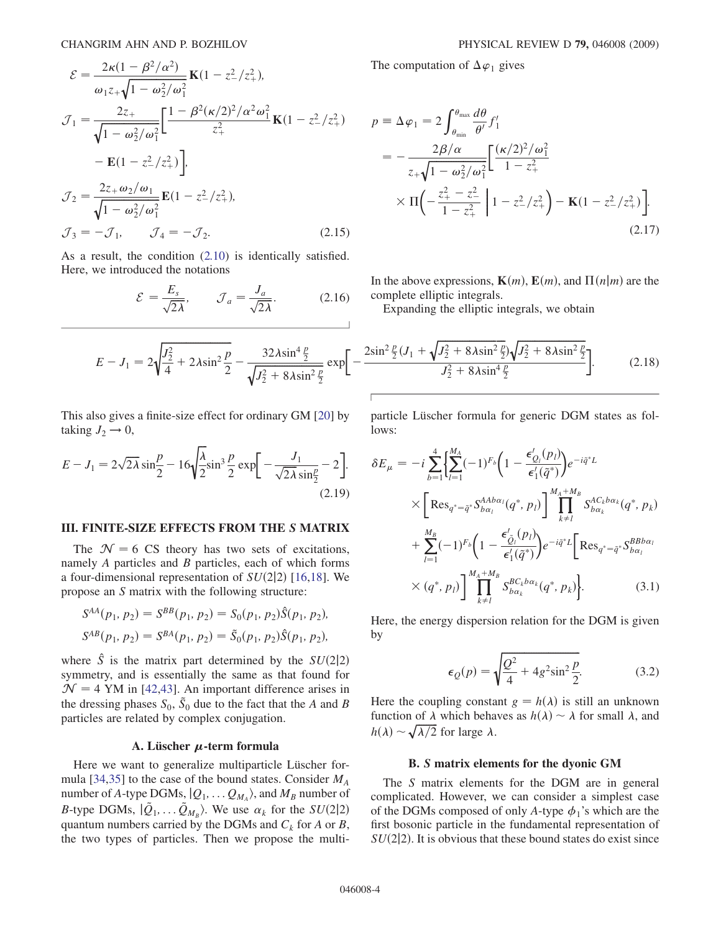<span id="page-3-0"></span>
$$
\mathcal{E} = \frac{2\kappa(1 - \beta^2/\alpha^2)}{\omega_1 z_+ \sqrt{1 - \omega_2^2/\omega_1^2}} \mathbf{K}(1 - z_-^2/z_+^2),
$$
  
\n
$$
\mathcal{J}_1 = \frac{2z_+}{\sqrt{1 - \omega_2^2/\omega_1^2}} \left[ \frac{1 - \beta^2(\kappa/2)^2/\alpha^2 \omega_1^2}{z_+^2} \mathbf{K}(1 - z_-^2/z_+^2) \right]
$$
  
\n
$$
- \mathbf{E}(1 - z_-^2/z_+^2) \Big],
$$
  
\n
$$
\mathcal{J}_2 = \frac{2z_+ \omega_2/\omega_1}{\sqrt{1 - \omega_2^2/\omega_1^2}} \mathbf{E}(1 - z_-^2/z_+^2),
$$
  
\n
$$
\mathcal{J}_3 = -\mathcal{J}_1, \qquad \mathcal{J}_4 = -\mathcal{J}_2.
$$
\n(2.15)

As a result, the condition [\(2.10](#page-1-1)) is identically satisfied. Here, we introduced the notations

$$
\mathcal{E} = \frac{E_s}{\sqrt{2\lambda}}, \qquad \mathcal{J}_a = \frac{J_a}{\sqrt{2\lambda}}.
$$
 (2.16)

$$
E - J_1 = 2\sqrt{\frac{J_2^2}{4} + 2\lambda \sin^2 \frac{p}{2}} - \frac{32\lambda \sin^4 \frac{p}{2}}{\sqrt{J_2^2 + 8\lambda \sin^2 \frac{p}{2}}} \exp\left[-\frac{2\lambda \sin^2 \frac{p}{2}}{\lambda \sin^2 \frac{p}{2}}\right]
$$

This also gives a finite-size effect for ordinary GM [20] by taking  $J_2 \rightarrow 0$ ,

$$
E - J_1 = 2\sqrt{2\lambda} \sin\frac{p}{2} - 16\sqrt{\frac{\lambda}{2}} \sin^3\frac{p}{2} \exp\left[-\frac{J_1}{\sqrt{2\lambda}\sin\frac{p}{2}} - 2\right].
$$
\n(2.19)

### III. FINITE-SIZE EFFECTS FROM THE S MATRIX

The  $\mathcal{N} = 6$  CS theory has two sets of excitations, namely  $A$  particles and  $B$  particles, each of which forms a four-dimensional representation of  $SU(2|2)$  [16,18]. We propose an S matrix with the following structure:

$$
S^{AA}(p_1, p_2) = S^{BB}(p_1, p_2) = S_0(p_1, p_2)\hat{S}(p_1, p_2),
$$
  

$$
S^{AB}(p_1, p_2) = S^{BA}(p_1, p_2) = \tilde{S}_0(p_1, p_2)\hat{S}(p_1, p_2),
$$

where  $\hat{S}$  is the matrix part determined by the  $SU(2|2)$ symmetry, and is essentially the same as that found for  $\mathcal{N} = 4$  YM in [\[42,43\]](#page-6-0). An important difference arises in the dressing phases  $S_0$ ,  $\tilde{S}_0$  due to the fact that the A and B particles are related by complex conjugation.

#### A. Lüscher  $\mu$ -term formula

Here we want to generalize multiparticle Lüscher for-mula [\[34,35\]](#page-6-0) to the case of the bound states. Consider  $M_A$ number of A-type DGMs,  $|Q_1, \ldots, Q_{M_A} \rangle$ , and  $M_B$  number of B-type DGMs,  $|\tilde{Q}_1, \ldots \tilde{Q}_{M_B} \rangle$ . We use  $\alpha_k$  for the  $SU(2|2)$ quantum numbers carried by the DGMs and  $C_k$  for A or B, the two types of particles. Then we propose the multiThe computation of  $\Delta \varphi_1$  gives

$$
p \equiv \Delta \varphi_1 = 2 \int_{\theta_{\min}}^{\theta_{\max}} \frac{d\theta}{\theta'} f'_1
$$
  
=  $-\frac{2\beta/\alpha}{z_+\sqrt{1-\omega_2^2/\omega_1^2}} \left[ \frac{(\kappa/2)^2/\omega_1^2}{1-z_+^2} \right]$   
 $\times \Pi \left( -\frac{z_+^2 - z_-^2}{1-z_+^2} \right) \left[ 1 - z_-^2/z_+^2 \right) - \mathbf{K} (1 - z_-^2/z_+^2) \right].$  (2.17)

In the above expressions,  $\mathbf{K}(m)$ ,  $\mathbf{E}(m)$ , and  $\Pi(n|m)$  are the complete elliptic integrals.

Expanding the elliptic integrals, we obtain

$$
\left[-\frac{2\sin^2\frac{p}{2}(J_1 + \sqrt{J_2^2 + 8\lambda\sin^2\frac{p}{2}})\sqrt{J_2^2 + 8\lambda\sin^2\frac{p}{2}}}{J_2^2 + 8\lambda\sin^4\frac{p}{2}}\right].
$$
 (2.18)

particle Lüscher formula for generic DGM states as follows:

$$
\delta E_{\mu} = -i \sum_{b=1}^{4} \left\{ \sum_{l=1}^{M_{A}} (-1)^{F_{b}} \left( 1 - \frac{\epsilon'_{Q_{l}}(p_{l})}{\epsilon'_{1}(\tilde{q}^{*})} \right) e^{-i\tilde{q}^{*}L} \right. \\
\times \left[ \operatorname{Res}_{q^{*}=\tilde{q}^{*}} S_{b\alpha_{l}}^{AAb\alpha_{l}}(q^{*}, p_{l}) \right] \prod_{k \neq l}^{M_{A}+M_{B}} S_{b\alpha_{k}}^{A C_{k}b\alpha_{k}}(q^{*}, p_{k}) \\
+ \sum_{l=1}^{M_{B}} (-1)^{F_{b}} \left( 1 - \frac{\epsilon'_{\tilde{Q}_{l}}(p_{l})}{\epsilon'_{1}(\tilde{q}^{*})} \right) e^{-i\tilde{q}^{*}L} \left[ \operatorname{Res}_{q^{*}=\tilde{q}^{*}} S_{b\alpha_{l}}^{BBb\alpha_{l}} \right. \\
\times (q^{*}, p_{l}) \right] \prod_{k \neq l}^{M_{A}+M_{B}} S_{b\alpha_{k}}^{B C_{k}b\alpha_{k}}(q^{*}, p_{k}) \left. \right]. \tag{3.1}
$$

Here, the energy dispersion relation for the DGM is given by

$$
\epsilon_{Q}(p) = \sqrt{\frac{Q^2}{4} + 4g^2 \sin^2 \frac{p}{2}}.
$$
 (3.2)

Here the coupling constant  $g = h(\lambda)$  is still an unknown function of  $\lambda$  which behaves as  $h(\lambda) \sim \lambda$  for small  $\lambda$ , and  $h(\lambda) \sim \sqrt{\lambda/2}$  for large  $\lambda$ .

### B. S matrix elements for the dyonic GM

The S matrix elements for the DGM are in general complicated. However, we can consider a simplest case of the DGMs composed of only A-type  $\phi_1$ 's which are the first bosonic particle in the fundamental representation of  $SU(2|2)$ . It is obvious that these bound states do exist since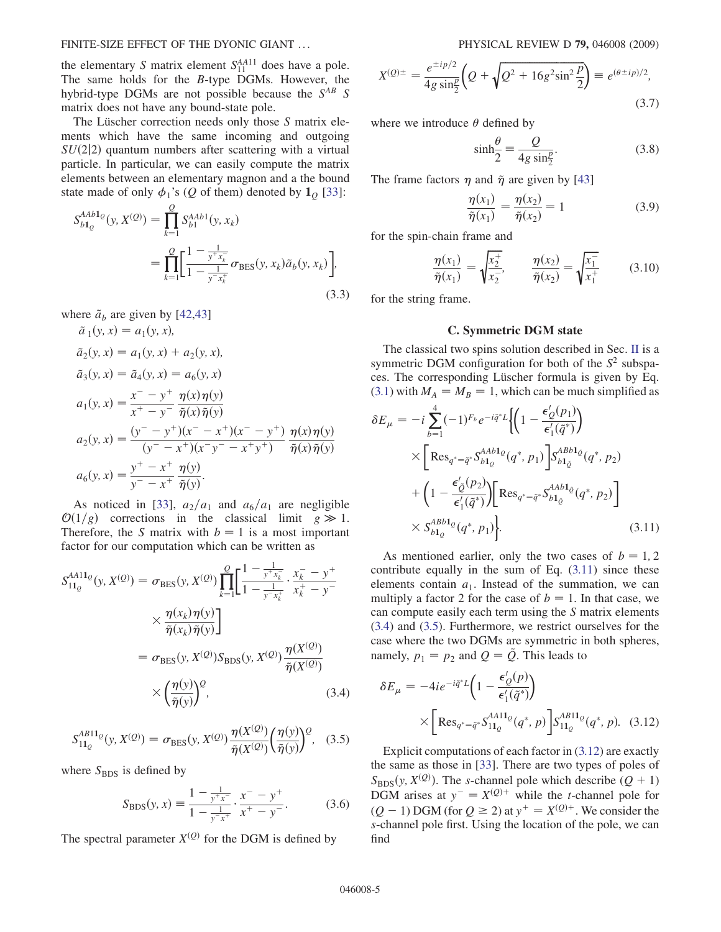### <span id="page-4-0"></span>FINITE-SIZE EFFECT OF THE DYONIC GIANT ... PHYSICAL REVIEW D 79, 046008 (2009)

the elementary S matrix element  $S_{11}^{AA11}$  does have a pole. The same holds for the B-type DGMs. However, the hybrid-type DGMs are not possible because the  $S^{AB}$  S matrix does not have any bound-state pole.

The Lüscher correction needs only those  $S$  matrix elements which have the same incoming and outgoing  $SU(2|2)$  quantum numbers after scattering with a virtual particle. In particular, we can easily compute the matrix elements between an elementary magnon and a the bound state made of only  $\phi_1$ 's (Q of them) denoted by  $\mathbf{1}_0$  [\[33\]](#page-6-0):

$$
S_{b1_Q}^{AAb1_Q}(y, X^{(Q)}) = \prod_{k=1}^Q S_{b1}^{AAb1}(y, x_k)
$$
  
= 
$$
\prod_{k=1}^Q \left[ \frac{1 - \frac{1}{y^+ x_k^-}}{1 - \frac{1}{y^- x_k^+}} \sigma_{\text{BES}}(y, x_k) \tilde{a}_b(y, x_k) \right],
$$
(3.3)

where  $\tilde{a}_b$  are given by [[42](#page-6-0),[43](#page-6-0)]

$$
\tilde{a}_1(y, x) = a_1(y, x), \n\tilde{a}_2(y, x) = a_1(y, x) + a_2(y, x), \n\tilde{a}_3(y, x) = \tilde{a}_4(y, x) = a_6(y, x) \n a_1(y, x) = \frac{x^- - y^+}{x^+ - y^-} \frac{\eta(x)\eta(y)}{\tilde{\eta}(x)\tilde{\eta}(y)} \n a_2(y, x) = \frac{(y^- - y^+)(x^- - x^+)(x^- - y^+)}{(y^- - x^+)(x^-y^- - x^+y^+)} \frac{\eta(x)\eta(y)}{\tilde{\eta}(x)\tilde{\eta}(y)} \n a_6(y, x) = \frac{y^+ - x^+}{y^- - x^+} \frac{\eta(y)}{\tilde{\eta}(y)}.
$$

As noticed in [[33](#page-6-0)],  $a_2/a_1$  and  $a_6/a_1$  are negligible  $\mathcal{O}(1/g)$  corrections in the classical limit  $g \gg 1$ . Therefore, the S matrix with  $b = 1$  is a most important factor for our computation which can be written as

$$
S_{11_Q}^{A411_Q}(y, X^{(Q)}) = \sigma_{BES}(y, X^{(Q)}) \prod_{k=1}^{Q} \left[ \frac{1 - \frac{1}{y^+ x_k^-}}{1 - \frac{1}{y^- x_k^+}} \cdot \frac{x_k^- - y^+}{x_k^+ - y^-} \right]
$$

$$
\times \frac{\eta(x_k)\eta(y)}{\tilde{\eta}(x_k)\tilde{\eta}(y)} \bigg]
$$

$$
= \sigma_{BES}(y, X^{(Q)}) S_{BDS}(y, X^{(Q)}) \frac{\eta(X^{(Q)})}{\tilde{\eta}(X^{(Q)})}
$$

$$
\times \left(\frac{\eta(y)}{\tilde{\eta}(y)}\right)^Q, \tag{3.4}
$$

$$
S_{11_Q}^{AB11_Q}(y, X^{(Q)}) = \sigma_{\rm BES}(y, X^{(Q)}) \frac{\eta(X^{(Q)})}{\tilde{\eta}(X^{(Q)})} \left(\frac{\eta(y)}{\tilde{\eta}(y)}\right)^Q, \quad (3.5)
$$

where  $S_{\rm BDS}$  is defined by

$$
S_{\rm BDS}(y, x) \equiv \frac{1 - \frac{1}{y^+ x^-}}{1 - \frac{1}{y^- x^+}} \cdot \frac{x^- - y^+}{x^+ - y^-}.
$$
 (3.6)

The spectral parameter  $X^{(Q)}$  for the DGM is defined by

$$
X^{(Q)\pm} = \frac{e^{\pm i p/2}}{4g \sin^2 \frac{p}{2}} \left(Q + \sqrt{Q^2 + 16g^2 \sin^2 \frac{p}{2}}\right) \equiv e^{(\theta \pm i p)/2},\tag{3.7}
$$

where we introduce  $\theta$  defined by

$$
\sinh\frac{\theta}{2} = \frac{Q}{4g\sin\frac{\theta}{2}}.\tag{3.8}
$$

The frame factors  $\eta$  and  $\tilde{\eta}$  are given by [[43](#page-6-0)]

$$
\frac{\eta(x_1)}{\tilde{\eta}(x_1)} = \frac{\eta(x_2)}{\tilde{\eta}(x_2)} = 1
$$
\n(3.9)

for the spin-chain frame and

$$
\frac{\eta(x_1)}{\tilde{\eta}(x_1)} = \sqrt{\frac{x_2^+}{x_2^-}}, \qquad \frac{\eta(x_2)}{\tilde{\eta}(x_2)} = \sqrt{\frac{x_1^-}{x_1^+}} \tag{3.10}
$$

for the string frame.

## C. Symmetric DGM state

The classical two spins solution described in Sec. II is a symmetric DGM configuration for both of the  $S<sup>2</sup>$  subspaces. The corresponding Lüscher formula is given by Eq. [\(3.1\)](#page-3-0) with  $M_A = M_B = 1$ , which can be much simplified as

$$
\delta E_{\mu} = -i \sum_{b=1}^{4} (-1)^{F_b} e^{-i\tilde{q}^* L} \Biggl\{ \Biggl( 1 - \frac{\epsilon'_{Q}(p_1)}{\epsilon'_1(\tilde{q}^*)} \Biggr) \times \Biggl[ \text{Res}_{q^* = \tilde{q}^*} S_{b1_Q}^{AAb1_Q}(q^*, p_1) \Biggr] S_{b1_Q}^{ABb1_Q}(q^*, p_2) + \Biggl( 1 - \frac{\epsilon'_{\tilde{Q}}(p_2)}{\epsilon'_1(\tilde{q}^*)} \Biggr) \Biggl[ \text{Res}_{q^* = \tilde{q}^*} S_{b1_Q}^{AAb1_{\tilde{Q}}}(q^*, p_2) \Biggr] \times S_{b1_Q}^{ABb1_Q}(q^*, p_1) \Biggr\}.
$$
 (3.11)

As mentioned earlier, only the two cases of  $b = 1, 2$ contribute equally in the sum of Eq.  $(3.11)$  since these elements contain  $a_1$ . Instead of the summation, we can multiply a factor 2 for the case of  $b = 1$ . In that case, we can compute easily each term using the S matrix elements (3.4) and (3.5). Furthermore, we restrict ourselves for the case where the two DGMs are symmetric in both spheres, namely,  $p_1 = p_2$  and  $Q = \tilde{Q}$ . This leads to

$$
\delta E_{\mu} = -4ie^{-i\tilde{q}^{*}L}\left(1 - \frac{\epsilon'_{Q}(p)}{\epsilon'_{1}(\tilde{q}^{*})}\right)
$$

$$
\times \left[\text{Res}_{q^{*} = \tilde{q}^{*}} S_{11_{Q}}^{A A 11_{Q}}(q^{*}, p)\right] S_{11_{Q}}^{A B 11_{Q}}(q^{*}, p). \quad (3.12)
$$

Explicit computations of each factor in (3.12) are exactly the same as those in [\[33\]](#page-6-0). There are two types of poles of  $S_{\text{BDS}}(y, X^{(Q)})$ . The s-channel pole which describe  $(Q + 1)$ DGM arises at  $y^- = X^{(Q)^+}$  while the *t*-channel pole for  $(Q - 1)$  DGM (for  $Q \ge 2$ ) at  $y^+ = X^{(Q)^+}$ . We consider the s-channel pole first. Using the location of the pole, we can find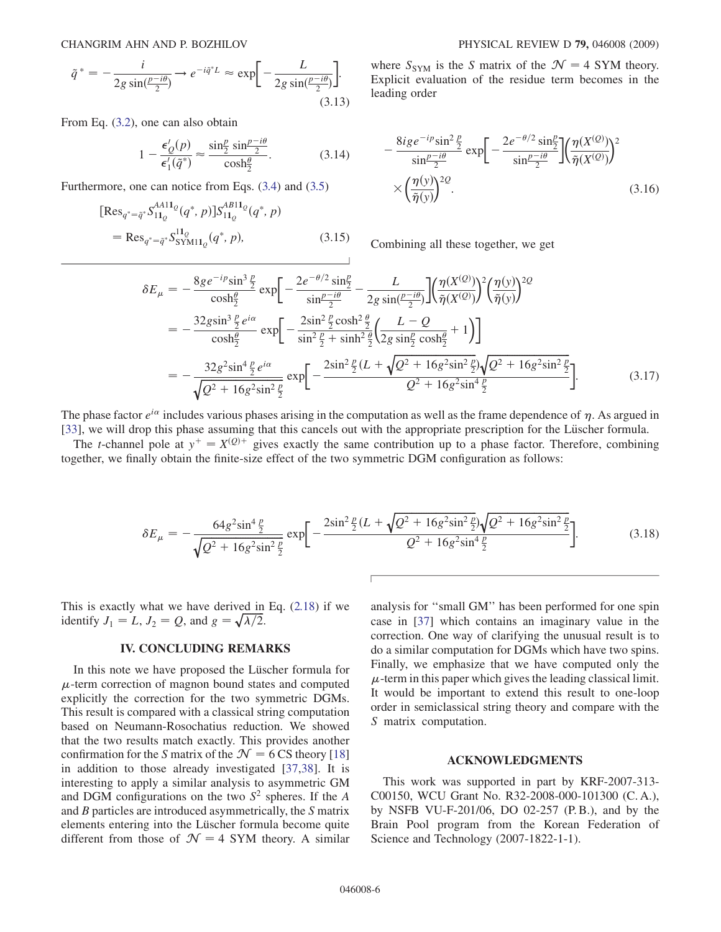$$
\tilde{q}^* = -\frac{i}{2g\sin(\frac{p-i\theta}{2})} \to e^{-i\tilde{q}^*L} \approx \exp\left[-\frac{L}{2g\sin(\frac{p-i\theta}{2})}\right].\tag{3.13}
$$

From Eq. [\(3.2\)](#page-3-0), one can also obtain

$$
1 - \frac{\epsilon_Q'(p)}{\epsilon_1'(\tilde{q}^*)} \approx \frac{\sin\frac{p}{2}\sin\frac{p-i\theta}{2}}{\cosh\frac{\theta}{2}}.\tag{3.14}
$$

Furthermore, one can notice from Eqs. ([3.4](#page-4-0)) and [\(3.5\)](#page-4-0)

$$
[Res_{q^*=\tilde{q}^*} S_{11_Q}^{A411_Q}(q^*, p)] S_{11_Q}^{AB11_Q}(q^*, p)
$$
  
= Res\_{q^\*=\tilde{q}^\*} S\_{SYM11\_Q}^{11\_Q}(q^\*, p), (3.15)

where  $S_{SYM}$  is the S matrix of the  $\mathcal{N} = 4$  SYM theory. Explicit evaluation of the residue term becomes in the leading order

$$
-\frac{8ige^{-ip}\sin^2\frac{p}{2}}{\sin\frac{p-i\theta}{2}}\exp\bigg[-\frac{2e^{-\theta/2}\sin\frac{p}{2}}{\sin\frac{p-i\theta}{2}}\bigg]\bigg(\frac{\eta(X^{(Q)})}{\tilde{\eta}(X^{(Q)})}\bigg)^2\times\bigg(\frac{\eta(y)}{\tilde{\eta}(y)}\bigg)^{2Q}.\tag{3.16}
$$

Combining all these together, we get

$$
\delta E_{\mu} = -\frac{8g e^{-ip} \sin^3 \frac{p}{2}}{\cosh \frac{\theta}{2}} \exp \left[ -\frac{2e^{-\theta/2} \sin \frac{p}{2}}{\sin \frac{p - i\theta}{2}} - \frac{L}{2g \sin(\frac{p - i\theta}{2})} \right] \left( \frac{\eta(X^{(Q)})}{\tilde{\eta}(X^{(Q)})} \right)^2 \left( \frac{\eta(y)}{\tilde{\eta}(y)} \right)^{2Q}
$$
  
\n
$$
= -\frac{32g \sin^3 \frac{p}{2} e^{i\alpha}}{\cosh \frac{\theta}{2}} \exp \left[ -\frac{2\sin^2 \frac{p}{2} \cosh^2 \frac{\theta}{2}}{\sin^2 \frac{p}{2} + \sinh^2 \frac{\theta}{2}} \left( \frac{L - Q}{2g \sin \frac{p}{2} \cosh \frac{\theta}{2}} + 1 \right) \right]
$$
  
\n
$$
= -\frac{32g^2 \sin^4 \frac{p}{2} e^{i\alpha}}{\sqrt{Q^2 + 16g^2 \sin^2 \frac{p}{2}}} \exp \left[ -\frac{2\sin^2 \frac{p}{2} (L + \sqrt{Q^2 + 16g^2 \sin^2 \frac{p}{2}})}{\sqrt{Q^2 + 16g^2 \sin^4 \frac{p}{2}}} \right].
$$
\n(3.17)

The phase factor  $e^{i\alpha}$  includes various phases arising in the computation as well as the frame dependence of  $\eta$ . As argued in [\[33\]](#page-6-0), we will drop this phase assuming that this cancels out with the appropriate prescription for the Lüscher formula.

The *t*-channel pole at  $y^+ = X^{(Q)+}$  gives exactly the same contribution up to a phase factor. Therefore, combining together, we finally obtain the finite-size effect of the two symmetric DGM configuration as follows:

$$
\delta E_{\mu} = -\frac{64g^2 \sin^4 \frac{p}{2}}{\sqrt{Q^2 + 16g^2 \sin^2 \frac{p}{2}}} \exp\bigg[ -\frac{2\sin^2 \frac{p}{2}(L + \sqrt{Q^2 + 16g^2 \sin^2 \frac{p}{2}})}{Q^2 + 16g^2 \sin^4 \frac{p}{2}} -\bigg].
$$
(3.18)

This is exactly what we have derived in Eq. ([2.18\)](#page-3-0) if we identify  $J_1 = L$ ,  $J_2 = Q$ , and  $g = \sqrt{\lambda/2}$ .

# IV. CONCLUDING REMARKS

In this note we have proposed the Lüscher formula for  $\mu$ -term correction of magnon bound states and computed explicitly the correction for the two symmetric DGMs. This result is compared with a classical string computation based on Neumann-Rosochatius reduction. We showed that the two results match exactly. This provides another confirmation for the S matrix of the  $\mathcal{N} = 6 \text{ CS}$  theory [18] in addition to those already investigated [[37](#page-6-0),[38](#page-6-0)]. It is interesting to apply a similar analysis to asymmetric GM and DGM configurations on the two  $S^2$  spheres. If the A and B particles are introduced asymmetrically, the S matrix elements entering into the Lüscher formula become quite different from those of  $\mathcal{N} = 4$  SYM theory. A similar analysis for ''small GM'' has been performed for one spin case in [[37](#page-6-0)] which contains an imaginary value in the correction. One way of clarifying the unusual result is to do a similar computation for DGMs which have two spins. Finally, we emphasize that we have computed only the  $\mu$ -term in this paper which gives the leading classical limit. It would be important to extend this result to one-loop order in semiclassical string theory and compare with the S matrix computation.

### ACKNOWLEDGMENTS

This work was supported in part by KRF-2007-313- C00150, WCU Grant No. R32-2008-000-101300 (C. A.), by NSFB VU-F-201/06, DO 02-257 (P. B.), and by the Brain Pool program from the Korean Federation of Science and Technology (2007-1822-1-1).